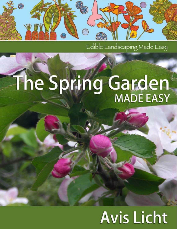

Edible Landscaping Made Easy

# The Spring Garden

# **Avis Licht**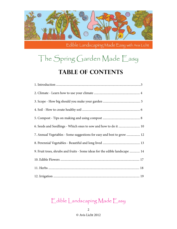

## The Spring Garden Made Easy

#### **Table of Contents**

| 6. Seeds and Seedlings - Which ones to sow and how to do it  10             |  |
|-----------------------------------------------------------------------------|--|
| 7. Annual Vegetables - Some suggestions for easy and best to grow  12       |  |
|                                                                             |  |
| 9. Fruit trees, shrubs and fruits - Some ideas for the edible landscape  14 |  |
|                                                                             |  |
|                                                                             |  |
|                                                                             |  |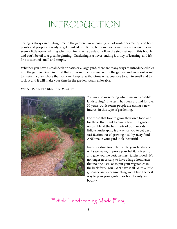## INTRODUCTION

<span id="page-2-0"></span>Spring is always an exciting time in the garden. We're coming out of winter dormancy, and both plants and people are ready to get cranked up. Bulbs, buds and seeds are bursting open. It can seem a little overwhelming when you first start a garden. Follow the steps set out in this booklet and you'll be off to a great beginning. Gardening is a never-ending journey of learning, and it's fine to start off small and simple.

Whether you have a small deck or patio or a large yard, there are many ways to introduce edibles into the garden. Keep in mind that you want to enjoy yourself in the garden and you don't want to make it a giant chore that you can't keep up with. Grow what you love to eat, to smell and to look at and it will make your time in the garden totally enjoyable.

#### WHAT IS AN EDIBLE LANDSCAPE?



You may be wondering what I mean by "edible landscaping". The term has been around for over 30 years, but it seems people are taking a new interest in this type of gardening.

For those that love to grow their own food and for those that want to have a beautiful garden, we can blend the best parts of both worlds. Edible landscaping is a way for you to get deep satisfaction out of growing healthy, tasty food AND make your yard look beautiful.

Incorporating food plants into your landscape will save water, improve your habitat diversity and give you the best, freshest, tastiest food. It's no longer necessary to have a large front lawn that no one uses, or to put your vegetables in the back forty. You CAN have it all. With a little guidance and experimenting you'll find the best way to plan your garden for both beauty and bounty.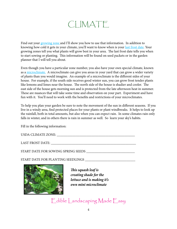## CLIMATE

<span id="page-3-0"></span>Find out your [growing zone](http://www.garden.org/zipzone/) and I'll show you how to use that information. In addition to knowing how cold it gets in your climate, you'll want to know when is your [last frost date.](http://davesgarden.com/guides/freeze-frost-dates/#b) Your growing zones tell you what plants will grow best in your area. The last frost date tells you when to start sowing or planting. This information will be found on seed packets or in the garden planner that I will tell you about.

Even though you have a particular zone number, you also have your own special climate, known as a [microclimate.](http://www.gardening.cornell.edu/weather/microcli.html) A microclimate can give you areas in your yard that can grow a wider variety of plants than you would imagine. An example of a microclimate is the different sides of your house. For example, if the south side receives good winter sun, you can grow frost tender plants like lemons and limes near the house. The north side of the house is shadier and cooler. The east side of the house gets morning sun and is protected from the late afternoon heat in summer. These are nuances that will take some time and observation on your part. Experiment and have fun with it. You'll need to work with the benefits and restrictions of your microclimates.

To help you plan your garden be sure to note the movement of the sun in different seasons. If you live in a windy area, find protected places for your plants or plant windbreaks. It helps to look up the rainfall, both in total amounts, but also when you can expect rain. In some climates rain only falls in winter, and in others there is rain in summer as well. So learn your sky's habits.

Fill in the following information:

| <b>USDA CLIMATE ZONE:</b> |  |
|---------------------------|--|
|---------------------------|--|

LAST FROST DATE: \_\_\_\_\_\_\_\_\_\_\_\_\_\_\_\_\_\_\_\_\_\_\_\_\_\_\_\_\_\_\_\_\_\_\_\_\_\_\_\_\_\_\_\_\_\_\_\_\_

START DATE FOR SOWING SPRING SEEDS \_\_\_\_\_\_\_\_\_\_\_\_\_\_\_\_\_\_\_\_\_\_\_\_\_\_\_\_

START DATE FOR PLANTING SEEDLINGS \_\_\_\_\_\_\_\_\_\_\_\_\_\_\_\_\_\_\_\_\_\_\_\_\_\_\_\_\_



*This squash leaf is creating shade for the lettuce and is making it's own mini microclimate*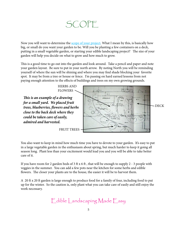## SCOPE

<span id="page-4-0"></span>Now you will want to determine the **[scope of your project](http://www.ediblelandscapingmadeeasy.com/2012/01/03/edible-landscape-plan-for-a-small-front-garden/)**. What I mean by this, is basically how big, or small do you want your garden to be. Will you be planting a few containers on a deck, putting in a small vegetable garden, or starting your edible landscaping project? The size of your garden will help you decide on what to grow and how much to grow.

This is a good time to go out into the garden and look around. Take a pencil and paper and note your garden layout. Be sure to put in your north arrow. By noting North you will be reminding yourself of where the sun will be shining and where you may find shade blocking your favorite spot. It may be from a tree or house or fence. I'm passing on hard earned lessons from not paying enough attention to the effects of buildings and trees on my own growing grounds.

*This is an example of a drawing for a small yard. We placed fruit trees, blueberries, flowers and herbs close to the back deck where they could be taken care of easily, admired and harvested.*

HERBS AND FLOWERS



You also want to keep in mind how much time you have to devote to your garden. It's easy to put in a large vegetable garden in the enthusiasm about spring, but much harder to keep it going all season long. Plant less than your excitement would lead you and you will be able to take better care of it.

If you have room for 2 garden beds of 3 ft x 6 ft , that will be enough to supply 2 - 3 people with veggies in the summer. You can add a few pots near the kitchen for some herbs and edible flowers. The closer your plants are to the house, the easier it will be to harvest them.

A 20 ft x 20 ft garden is large enough to produce food for a family of four, including food to put up for the winter. So the caution is, only plant what you can take care of easily and still enjoy the work necessary.

[Edible Landscaping Made Easy](http://www.ediblelandscapingmadeeasy.com)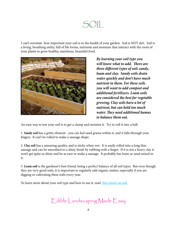## SOIL

<span id="page-5-0"></span>I can't overstate how important your soil is to the health of your garden. Soil is NOT dirt. Soil is a living, breathing entity, full of life forms, nutrients and moisture that interact with the roots of your plants to grow healthy, nutritious, beautiful food.



*By learning your soil type you will know what to add. There are three different types of soil: sandy, loam and clay. Sandy soils drain water quickly and don't have much nutrient in them. For these soils you will want to add compost and additional fertilizers. Loam soils are considered the best for vegetable growing. Clay soils have a lot of nutrient, but can hold too much water. They need additional humus to balance them out.*

An easy way to test your soil is to get a clump and moisten it. Try to roll it into a ball.

1. **Sandy soil** has a gritty element - you can feel sand grains within it, and it falls through your fingers. It can't be rolled to make a sausage shape.

2. **Clay soil** has a smearing quality, and is sticky when wet. It is easily rolled into a long thin sausage and can be smoothed to a shiny finish by rubbing with a finger. If it is not a heavy clay it won't get quite as shiny and be as easy to make a sausage. It probably has loam or sand mixed in it.

3. **Loam soil** is the gardener's best friend, being a perfect balance of all soil types. But even though they are very good soils, it is important to regularly add organic matter, especially if you are digging or cultivating these soils every year.

To learn more about your soil type and how to use it, read [this article](http://www.rain.org/global-garden/soil-types-and-testing.htm) on soil.

[Edible Landscaping Made Easy](http://www.ediblelandscapingmadeeasy.com)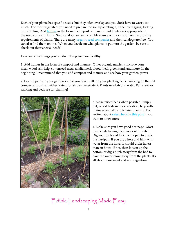Each of your plants has specific needs, but they often overlap and you don't have to worry too much. For most vegetables you need to prepare the soil by aerating it, either by digging, forking or rototilling. Add [humus](http://en.wikipedia.org/wiki/Humus) in the form of compost or manure. Add nutrients appropriate to the needs of your plants. Seed catalogs are an incredible source of information on the growing requirements of plants. There are many [organic seed companies](http://www.ediblelandscapingmadeeasy.com/resources/) and their catalogs are free. You can also find them online. When you decide on what plants to put into the garden, be sure to check out their special needs.

Here are a few things you can do to keep your soil healthy.

1. Add humus in the form of compost and manure. Other organic nutrients include bone meal, wood ash, kelp, cottonseed meal, alfalfa meal, blood meal, green sand, and more. In the beginning, I recommend that you add compost and manure and see how your garden grows.

2. Lay out paths in your garden so that you don't walk on your planting beds. Walking on the soil compacts it so that neither water nor air can penetrate it. Plants need air and water. Paths are for walking and beds are for planting!



3. Make raised beds when possible. Simply put, raised beds increase aeration, help with drainage and allow intensive planting. I've written about [raised beds in this post](http://www.ediblelandscapingmadeeasy.com/tag/raised-beds/) if you want to know more.

4. Make sure you have good drainage. Most plants hate having their roots sit in water. Dig your beds and fork them open to break the hardpan. If you dig a hole and fill it with water from the hose, it should drain in less than an hour. If not, then loosen up the bottom or dig a ditch away from the bed to have the water move away from the plants. It's all about movement and not stagnation.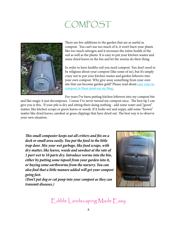## COMPOST

<span id="page-7-0"></span>

There are few additions to the garden that are as useful as compost. You can't use too much of it, it won't burn your plants like too much nitrogen and it increases the entire health of the soil as well as the plants. It is easy to put your kitchen wastes and some dried leaves in the bin and let the worms do their thing.

In order to have healthy soil you need compost. You don't need to be religious about your compost (like some of us), but it's simply crazy not to put your kitchen wastes and garden leftovers into your own compost. Why give away something from your own site that can become garden gold? Please read about easy ways to [compost in these posts on my blog.](http://www.ediblelandscapingmadeeasy.com/tag/compost/) 

For years I've been putting kitchen leftovers into my compost bin

and like magic it just decomposes. I swear I've never turned my compost once. The best tip I can give you is this. If your pile is dry and sitting there doing nothing - add some water and "green" matter, like kitchen scraps or green leaves or weeds. If it looks wet and soppy, add some "brown" matter like dried leaves, sawdust or grass clippings that have dried out. The best way is to observe your own situation.

*This small composter keeps out all critters and fits on a deck or small area easily. You put the food in the little trap door. Mix your wet garbage, like food scraps, with dry matter, like leaves, weeds and sawdust at the rate of 1 part wet to 10 parts dry. Introduce worms into the bin, either by putting some topsoil from your garden into it, or buying some earthworms from the nursery. You can also find that a little manure added will get your compost going fast.*

*(Don't put dog or cat poop into your compost as they can transmit diseases.)*

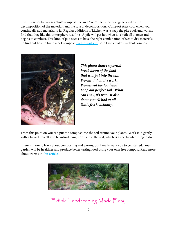The difference between a "hot" compost pile and "cold" pile is the heat generated by the decomposition of the materials and the rate of decomposition. Compost stays cool when you continually add material to it. Regular additions of kitchen waste keep the pile cool, and worms find that they like this atmosphere just fine. A pile will get hot when it is built all at once and begins to combust. This kind of pile needs to have the right combination of wet to dry materials. To find out how to build a hot compost [read this article.](http://gardening.wsu.edu/stewardship/compost/yardcomp/yard2.htm) Both kinds make excellent compost.



*This photo shows a partial break down of the food that was put into the bin. Worms did all the work. Worms eat the food and poop out perfect soil. What can I say, it's true. It also doesn't smell bad at all. Quite fresh, actually.*

From this point on you can put the compost into the soil around your plants. Work it in gently with a trowel. You'll also be introducing worms into the soil, which is a spectacular thing to do.

There is more to learn about composting and worms, but I really want you to get started. Your garden will be healthier and produce better tasting food using your own free compost. Read more about worms in t[his article.](http://compost.css.cornell.edu/worms/basics.html)

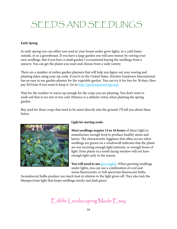## <span id="page-9-0"></span>SEEDS AND SEEDLINGS

#### **Early Spring**

In early spring you can either sow seed in your house under grow lights, in a cold frame outside, or in a greenhouse. If you have a large garden you will save money by sowing your own seedlings. But if you have a small garden I recommend buying the seedlings from a nursery. You can get the plants you want and choose from a wide variety.

There are a number of online garden planners that will help you figure out your sowing and planting dates using your zip code, if you're in the United States. Kitchen Gardeners International has an easy to use garden planner for the vegetable garden. You can try it for free for 30 days, then pay \$25/year if you want to keep it. Go to <http://gardenplanner.kgi.org/>

Wait for the weather to warm up enough for the crops you are planting. You don't want to work soil that is too wet or too cold. Patience is a definite virtue when planting the spring garden.

Buy seed for those crops that need to be sown directly into the ground. I'll tell you about these below.



#### **Light for starting seeds:**

**Most seedlings require 14 to 16 hours** of direct light to manufacture enough food to produce healthy stems and leaves. The characteristic legginess that often occurs when seedlings are grown on a windowsill indicates that the plants are not receiving enough light intensity, or enough hours of light. Even plants in a south facing window will not have enough light early in the season.

You will need to use [grow lights](http://www.gardeners.com/Seedstarting/Seedstarting_Dept,default,sc.html). When growing seedlings under lights, you can use a combination of cool and warm fluorescents, or full-spectrum fluorescent bulbs.

Incandescent bulbs produce too much heat in relation to the light given off. They also lack the bluespectrum light that keeps seedlings stocky and dark green.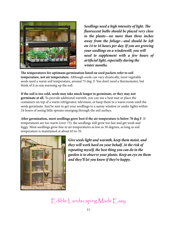

*Seedlings need a high intensity of light. The fluorescent bulbs should be placed very close to the plants—no more than three inches away from the foliage—and should be left on 14 to 16 hours per day. If you are growing your seedlings on a windowsill, you will need to supplement with a few hours of artificial light, especially during the winter months.*

**The temperatures for optimum germination listed on seed packets refer to soil temperature, not air temperature.** Although seeds can vary drastically, most vegetable seeds need a warm soil temperature, around 75 deg. F. You don't need a thermometer, but think of it as sun warming up the soil.

**If the soil is too cold, seeds may take much longer to germinate, or they may not germinate at all.** To provide additional warmth, you can use a heat mat or place the containers on top of a warm refrigerator, television, or keep them in a warm room until the seeds germinate. Just be sure to get your seedlings to a sunny window or under lights within 24 hours of seeing little sprouts emerging through the soil surface.

**After germination, most seedlings grow best if the air temperature is below 70 deg F**. If temperatures are too warm (over 75), the seedlings will grow too fast and get weak and leggy. Most seedlings grow fine in air temperatures as low as 50 degrees, as long as soil temperature is maintained at about 65 to 70.



*Give seeds light and warmth, keep them moist, and they will work hard on your behalf. At the risk of repeating myself, the best thing you can do in the garden is to observe your plants. Keep an eye on them and they'll let you know if they're happy.*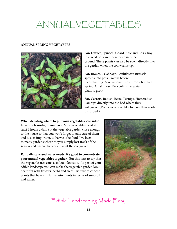## <span id="page-11-0"></span>ANNUAL VEGETABLES

#### **ANNUAL SPRING VEGETABLES**



**Sow** Lettuce, Spinach, Chard, Kale and Bok Choy into seed pots and then move into the ground. These plants can also be sown directly into the garden when the soil warms up.

**Sow** Broccoli, Cabbage, Cauliflower, Brussels sprouts into pots 6 weeks before transplanting. You can direct sow Broccoli in late spring. Of all these, Broccoli is the easiest plant to grow.

**Sow** Carrots, Radish, Beets, Turnips, Horseradish, Parsnips directly into the bed where they will grow. (Root crops don't like to have their roots disturbed.)

**When deciding where to put your vegetables, consider how much sunlight you have.** Most vegetables need at least 6 hours a day. Put the vegetable garden close enough to the house so that you won't forget to take care of them and just as important, to harvest the food. I've been to many gardens where they've simply lost track of the season and haven't harvested what they've grown.

**For daily care and water needs, it's good to concentrate your annual vegetables together**. But this isn't to say that the vegetable area can't also look fantastic. As part of your edible landscape you can make the vegetable garden look beautiful with flowers, herbs and trees. Be sure to choose plants that have similar requirements in terms of sun, soil and water.

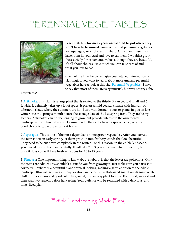## <span id="page-12-0"></span>PERENNIAL VEGETABLES



**Perennials live for many years and should be put where they won't have to be moved**. Some of the best perennial vegetables are asparagus, artichoke and rhubarb. Only plant these if you have room in your yard and love to eat them. I wouldn't grow these strictly for ornamental value, although they are beautiful. It's all about choices. How much you can take care of and what you love to eat.

(Each of the links below will give you detailed information on planting). If you want to learn about more unusual perennial vegetables have a look at this site, [Perennial Vegetables](http://perennialvegetables.org/). I have to say that most of them are very unusual, but why not try a few

new plants?

1. Artichoke: This plant is a large plant that is related to the thistle. It can get to 4 ft tall and 6 ft wide. It definitely takes up a lot of space. It prefers a mild coastal climate with full sun, or afternoon shade where the summers are hot. Start with dormant roots or plants in pots in late winter or early spring a month before the average date of the last spring frost. They are heavy feeders. Artichokes can be challenging to grow, but provide interest in the ornamental landscape and are fun to harvest. Commercially, they are a heavily sprayed crop, so are a good choice to grow organically at home.

2. Asparagus : This is one of the most dependable home grown vegetables. After you harvest the new shoots in early spring, let them grow up into feathery wands that look beautiful. They need to be cut down completely in the winter. For this reason, in the edible landscape, you'll need to site this plant carefully. It will take 2 to 3 years to come into production, but once it does you will have fresh asparagus for 10 to 15 years.

3. [Rhubarb](http://www.organicgardening.com/learn-and-grow/rhubarb-0): One important thing to know about rhubarb, is that the leaves are poisonous. Only the stems are edible! This shouldn't dissuade you from growing it. Just make sure you harvest it correctly. Rhubarb is a beautiful plant, tropical looking, making a great addition to the edible landscape. Rhubarb requires a sunny location and a fertile, well-drained soil. It needs some winter chill for thick stems and good color. In general, it is an easy plant to grow. Fertilize it, water it and then wait two seasons before harvesting. Your patience will be rewarded with a delicious, and long- lived plant.

[Edible Landscaping Made Easy](http://www.ediblelandscapingmadeeasy.com)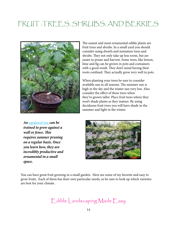### <span id="page-13-0"></span>FRUIT :TREES, SHRUBS, AND BERRIES



*An* [espaliered tree](http://growingwithstarkbros.com/?p=1016) *can be trained to grow against a wall or fence. This requires summer pruning on a regular basis. Once you learn how, they are incredibly productive and ornamental in a small space.*

The easiest and most ornamental edible plants are fruit trees and shrubs. In a small yard you should consider using dwarfs and miniature trees and shrubs. They not only take up less room, but are easier to prune and harvest. Some trees, like lemon, lime and fig can be grown in pots and containers with a good result. They don't mind having their roots confined. They actually grow very well in pots.

When planting your trees be sure to consider available sun in all seasons. The summer sun is high in the sky and the winter sun very low. Also consider the effect of these trees when they've grown taller. Place fruit trees where they won't shade plants as they mature. By using deciduous fruit trees you will have shade in the summer and light in the winter.



You can have great fruit growing in a small garden. Here are some of my favorite and easy to grow fruits. Each of them has their own particular needs, so be sure to look up which varieties are best for your climate.

[Edible Landscaping Made Easy](http://www.ediblelandscapingmadeeasy.com)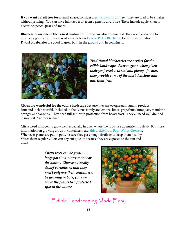**If you want a fruit tree for a small space**, consider a [gentic dwarf fruit t](http://www.motherearthnews.com/Organic-Gardening/1986-03-01/Dwarf-Trees-Fruit-Nuts.aspx)ree. They are bred to be smaller without pruning. You can have full sized fruit from a genetic dwarf tree. These include apple, cherry, nectarine, peach, pear and more.

**Blueberries are one of the easiest** fruiting shrubs that are also ornamental. They need acidic soil to produce a good crop. Please read my article on [How to Pick a Blueberry,](http://www.ediblelandscapingmadeeasy.com/2011/12/14/how-to-pick-a-blueberry-variety-for-your-edible-landscape/) for more information. **Dwarf blueberries** are good to grow both in the ground and in containers.



*Traditional blueberries are perfect for the edible landscape. Easy to grow, when given their preferred acid soil and plenty of water, they provide some of the most delicious and nutrtious fruit.*

**Citrus are wonderful for the edible landscape** because they are evergreen, fragrant, produce fruit and look beautiful. Included in the Citrus family are lemons, limes, grapefruit, kumquats, mandarin oranges and tangelos. They need full sun, with protection from heavy frost. They all need well drained loamy soil. Another winner.

Citrus need nitrogen to grow well, especially in pots, where the roots use up nutrients quickly. For more information on growing citrus in containers read [this article from Four Winds Growers.](http://www.fourwindsgrowers.com/tips-and-advice/growing-dwarf-citrus/in-containers.html) Whenever plants are put in pots, be sure they get enough fertilizer to keep them healthy. Water them regularly. Pots can dry out quickly because they are exposed to the sun and wind.

> *Citrus trees can be grown in large pots in a sunny spot near the house . Choose naturally dwarf varieties so that they won't outgrow their containers. by growing in pots, you can move the plants to a protected spot in the winter.*

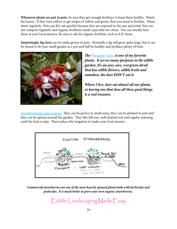**Whenever plants are put in pots**, be sure they get enough fertilizer to keep them healthy. Watch the leaves. If they turn yellow or get stripes of yellow and green, then you need to fertilize. Water them regularly. Pots can dry out quickly because they are exposed to the sun and wind. You can use compost regularly and organic feritlizers made especially for citrus. You can usually find these at your local nursery. Be sure to ask for organic fertilizer, such as E.B. Stone.

**Surprisingly, fig trees** can be easily grown in pots. Normally a fig will grow quite large, but it can be tamed to fit your small garden in a pot and still be healthy and produce plenty of fruit.



*The* [Pineapple Guava](http://www.ediblelandscapingmadeeasy.com/2011/12/21/pineapple-guava-a-great-shrub-for-your-edible-landscape/) *is one of my favorite plants. It serves many purposes in the edible garden. It's an easy care, evergreen shrub that has edible flowers, edible fruits and somehow, the deer DON'T eat it.* 

*Where I live, deer eat almost all our plants, so having one that does all these good things is a real treasure.* 

[Strawberries are easy to grow.](http://www.ediblelandscapingmadeeasy.com/2012/01/26/how-to-grow-delicious-strawberries-for-your-edible-landscape/) They can be grown in small areas, they can be planted in pots and they can be spread around the garden. They like full sun, well drained soil and regular watering until the fruit is ripe. Then reduce the irrigation to make your fruit sweeter.



*Commercial strawberries are one of the most heavily sprayed plants both with herbicides and pesticides. It is much better to grow your own organic strawberries.*

[Edible Landscaping Made Easy](http://www.ediblelandscapingmadeeasy.com)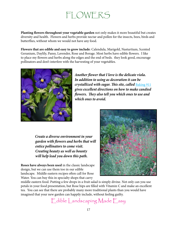## FLOWERS

<span id="page-16-0"></span>**Planting flowers throughout your vegetable garden** not only makes it more beautiful but creates diversity and health. Flowers and herbs provide nectar and pollen for the insects, bees, birds and butterflies, without whom we would not have any food.

**Flowers that are edible and easy to grow include**: Calendula, Marigold, Nasturtium, Scented Geranium, Daylily, Pansy, Lavender, Rose and Borage. Most herbs have edible flowers. I like to place my flowers and herbs along the edges and the end of beds. they look good, encourage pollinators and don't interfere with the harvesting of your vegetables.



*Another flower that I love is the delicate viola. In addition to using as decoration it can be crystallized with sugar. This site, called* [Baking 911](http://baking911.com/quick-guide/how-to-az/crystallize-flowers) *gives excellent directions on how to make candied flowers. They also tell you which ones to use and which ones to avoid.*

 *Create a diverse environment in your garden with flowers and herbs that will entice pollinators to come visit. Creating beauty as well as bounty will help lead you down this path.*

**Roses have always been used** in the classic landscape design, but we can use them too in our edible landscape. Middle eastern recipes often call for Rose Water. You can buy this in specialty shops that carry



middle eastern food. Putting a few drops in a fruit salad is simply divine. Not only can you use petals in your food presentation, but Rose hips are filled with Vitamin C and make an excellent tea. You can see that there are probably many more traditional plants than you would have imagined that your new garden can happily include, without feeling guilty.

[Edible Landscaping Made Easy](http://www.ediblelandscapingmadeeasy.com)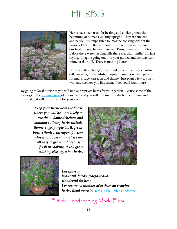## HERBS

<span id="page-17-0"></span>

Herbs have been used for healing and cooking since the beginning of humans walking upright. They are ancient and hardy. It is impossible to imagine cooking without the flavors of herbs. But we shouldn't forget their importance to our health. Long before there was Tums, there was mint tea. Before there were sleeping pills there was chamomile. I'm just saying. Imagine going out into your garden and picking fresh mint, basil or dill. There is nothing better.

Consider: Basil, borage, chamomile, chervil, chives, cilantro, dill, lavender, horseradish, marjoram, mint, oregano, parsley, rosemary, sage, tarragon and thyme. Just plant a few to start with and see how you like them. I bet you'll want more.

By going to local nurseries you will find appropriate herbs for your garden. Peruse some of the catalogs in the **resource page** of my website and you will find many herbs both common and unusual that will be just right for your site.

 *Keep your herbs near the house where you will be more likely to use them. Some delicious and common culinary herbs include thyme, sage, purple basil, green basil, cilantro, tarragon, parsley, chives and rosemary. These are all easy to grow and best used fresh in cooking. If you grow nothing else, try a few herbs.*





*Lavender is beautiful, hardy, fragrant and wonderful for bees. I've written a number of articles on growing herbs. Read more in* [Herbs in the Edible Landscape](http://www.ediblelandscapingmadeeasy.com/tag/herbs/)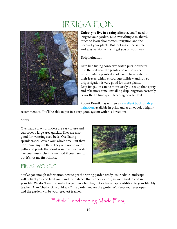## IRRIGATION

<span id="page-18-0"></span>

**Unless you live in a rainy climate,** you'll need to irrigate your garden. Like everything else, there's much to learn about water, irrigation and the needs of your plants. But looking at the simple and easy version will still get you on your way.

#### **Drip irrigation**

Drip line tubing conserves water, puts it directly into the soil near the plants and reduces weed growth. Many plants do not like to have water on their leaves, which encourages mildew and rot, so drip irrigation is very good for these plants. Drip irrigation can be more costly to set up than spray and take more time. Installing drip irrigation correctly is worth the time spent learning how to do it.

Robert Kourik has written an [excellent book on drip](http://www.robertkourik.com/books/drip09.html)  [irrigation,](http://www.robertkourik.com/books/drip09.html) available in print and as an ebook. I highly

recommend it. You'll be able to put in a very good system with his directions.

#### **Spray**

Overhead spray sprinklers are easy to use and can cover a large area quickly. They are also good for watering seed beds. Oscillating sprinklers will cover your whole area. But they don't have any subtlety. They will water your paths and plants that don't want overhead water, like your roses. Use this method if you have to, but it's not my first choice.



#### FINAL WORDS

You've got enough information now to get the Spring garden ready. Your edible landscape will delight you and feed you. Find the balance that works for you, in your garden and in your life. We don't want to make the garden a burden, but rather a happy addition to your life. My teacher, Alan Chadwick, would say, "The garden makes the gardener". Keep your eyes open and the garden will be your greatest teacher.

[Edible Landscaping Made Easy](http://www.ediblelandscapingmadeeasy.com)